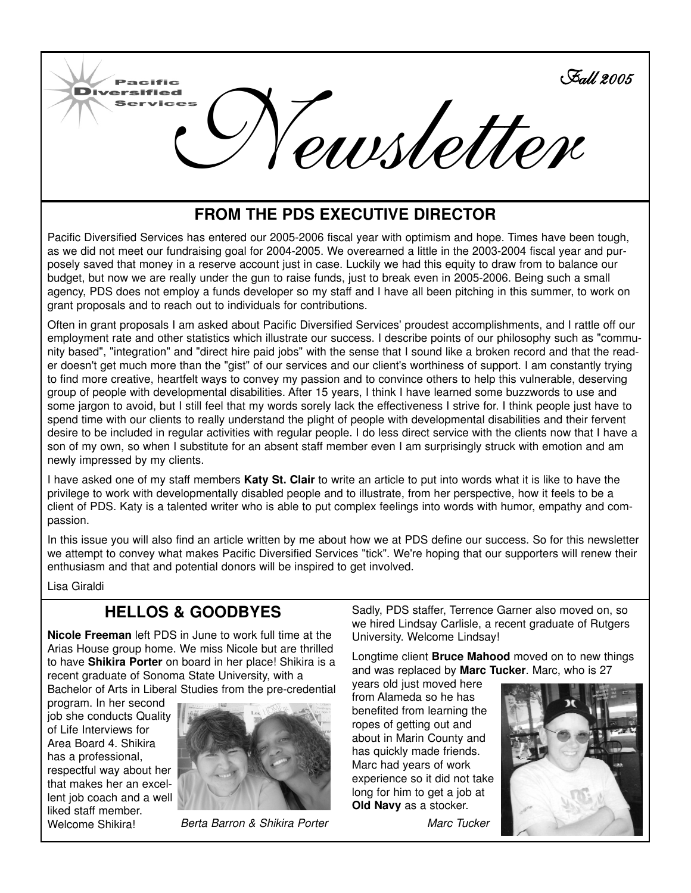

## **FROM THE PDS EXECUTIVE DIRECTOR**

Pacific Diversified Services has entered our 2005-2006 fiscal year with optimism and hope. Times have been tough, as we did not meet our fundraising goal for 2004-2005. We overearned a little in the 2003-2004 fiscal year and purposely saved that money in a reserve account just in case. Luckily we had this equity to draw from to balance our budget, but now we are really under the gun to raise funds, just to break even in 2005-2006. Being such a small agency, PDS does not employ a funds developer so my staff and I have all been pitching in this summer, to work on grant proposals and to reach out to individuals for contributions.

Often in grant proposals I am asked about Pacific Diversified Services' proudest accomplishments, and I rattle off our employment rate and other statistics which illustrate our success. I describe points of our philosophy such as "community based", "integration" and "direct hire paid jobs" with the sense that I sound like a broken record and that the reader doesn't get much more than the "gist" of our services and our client's worthiness of support. I am constantly trying to find more creative, heartfelt ways to convey my passion and to convince others to help this vulnerable, deserving group of people with developmental disabilities. After 15 years, I think I have learned some buzzwords to use and some jargon to avoid, but I still feel that my words sorely lack the effectiveness I strive for. I think people just have to spend time with our clients to really understand the plight of people with developmental disabilities and their fervent desire to be included in regular activities with regular people. I do less direct service with the clients now that I have a son of my own, so when I substitute for an absent staff member even I am surprisingly struck with emotion and am newly impressed by my clients.

I have asked one of my staff members **Katy St. Clair** to write an article to put into words what it is like to have the privilege to work with developmentally disabled people and to illustrate, from her perspective, how it feels to be a client of PDS. Katy is a talented writer who is able to put complex feelings into words with humor, empathy and compassion.

In this issue you will also find an article written by me about how we at PDS define our success. So for this newsletter we attempt to convey what makes Pacific Diversified Services "tick". We're hoping that our supporters will renew their enthusiasm and that and potential donors will be inspired to get involved.

Lisa Giraldi

# **HELLOS & GOODBYES**

**Nicole Freeman** left PDS in June to work full time at the Arias House group home. We miss Nicole but are thrilled to have **Shikira Porter** on board in her place! Shikira is a recent graduate of Sonoma State University, with a Bachelor of Arts in Liberal Studies from the pre-credential

program. In her second job she conducts Quality of Life Interviews for Area Board 4. Shikira has a professional, respectful way about her that makes her an excellent job coach and a well liked staff member. Welcome Shikira!



*Berta Barron & Shikira Porter Marc Tucker*

Sadly, PDS staffer, Terrence Garner also moved on, so we hired Lindsay Carlisle, a recent graduate of Rutgers University. Welcome Lindsay!

Longtime client **Bruce Mahood** moved on to new things and was replaced by **Marc Tucker**. Marc, who is 27

years old just moved here from Alameda so he has benefited from learning the ropes of getting out and about in Marin County and has quickly made friends. Marc had years of work experience so it did not take long for him to get a job at **Old Navy** as a stocker.

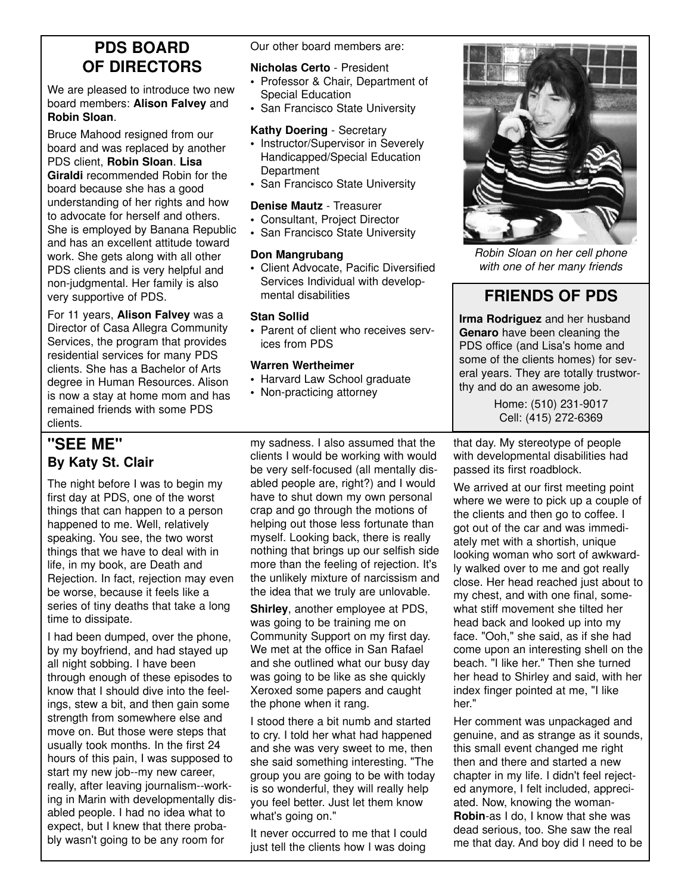# **PDS BOARD OF DIRECTORS**

We are pleased to introduce two new board members: **Alison Falvey** and **Robin Sloan**.

Bruce Mahood resigned from our board and was replaced by another PDS client, **Robin Sloan**. **Lisa Giraldi** recommended Robin for the board because she has a good understanding of her rights and how to advocate for herself and others. She is employed by Banana Republic and has an excellent attitude toward work. She gets along with all other PDS clients and is very helpful and non-judgmental. Her family is also very supportive of PDS.

For 11 years, **Alison Falvey** was a Director of Casa Allegra Community Services, the program that provides residential services for many PDS clients. She has a Bachelor of Arts degree in Human Resources. Alison is now a stay at home mom and has remained friends with some PDS clients.

### **"SEE ME" By Katy St. Clair**

The night before I was to begin my first day at PDS, one of the worst things that can happen to a person happened to me. Well, relatively speaking. You see, the two worst things that we have to deal with in life, in my book, are Death and Rejection. In fact, rejection may even be worse, because it feels like a series of tiny deaths that take a long time to dissipate.

I had been dumped, over the phone, by my boyfriend, and had stayed up all night sobbing. I have been through enough of these episodes to know that I should dive into the feelings, stew a bit, and then gain some strength from somewhere else and move on. But those were steps that usually took months. In the first 24 hours of this pain, I was supposed to start my new job--my new career, really, after leaving journalism--working in Marin with developmentally disabled people. I had no idea what to expect, but I knew that there probably wasn't going to be any room for

Our other board members are:

#### **Nicholas Certo** - President

- Professor & Chair, Department of Special Education
- San Francisco State University

#### **Kathy Doering** - Secretary

- Instructor/Supervisor in Severely Handicapped/Special Education **Department**
- San Francisco State University

#### **Denise Mautz** - Treasurer

- Consultant, Project Director
- San Francisco State University

#### **Don Mangrubang**

• Client Advocate, Pacific Diversified Services Individual with developmental disabilities

#### **Stan Sollid**

• Parent of client who receives services from PDS

#### **Warren Wertheimer**

- Harvard Law School graduate
- Non-practicing attorney

my sadness. I also assumed that the clients I would be working with would be very self-focused (all mentally disabled people are, right?) and I would have to shut down my own personal crap and go through the motions of helping out those less fortunate than myself. Looking back, there is really nothing that brings up our selfish side more than the feeling of rejection. It's the unlikely mixture of narcissism and the idea that we truly are unlovable.

**Shirley**, another employee at PDS, was going to be training me on Community Support on my first day. We met at the office in San Rafael and she outlined what our busy day was going to be like as she quickly Xeroxed some papers and caught the phone when it rang.

I stood there a bit numb and started to cry. I told her what had happened and she was very sweet to me, then she said something interesting. "The group you are going to be with today is so wonderful, they will really help you feel better. Just let them know what's going on."

It never occurred to me that I could just tell the clients how I was doing



*Robin Sloan on her cell phone with one of her many friends*

## **FRIENDS OF PDS**

**Irma Rodriguez** and her husband **Genaro** have been cleaning the PDS office (and Lisa's home and some of the clients homes) for several years. They are totally trustworthy and do an awesome job.

> Home: (510) 231-9017 Cell: (415) 272-6369

that day. My stereotype of people with developmental disabilities had passed its first roadblock.

We arrived at our first meeting point where we were to pick up a couple of the clients and then go to coffee. I got out of the car and was immediately met with a shortish, unique looking woman who sort of awkwardly walked over to me and got really close. Her head reached just about to my chest, and with one final, somewhat stiff movement she tilted her head back and looked up into my face. "Ooh," she said, as if she had come upon an interesting shell on the beach. "I like her." Then she turned her head to Shirley and said, with her index finger pointed at me, "I like her."

Her comment was unpackaged and genuine, and as strange as it sounds, this small event changed me right then and there and started a new chapter in my life. I didn't feel rejected anymore, I felt included, appreciated. Now, knowing the woman-**Robin**-as I do, I know that she was dead serious, too. She saw the real me that day. And boy did I need to be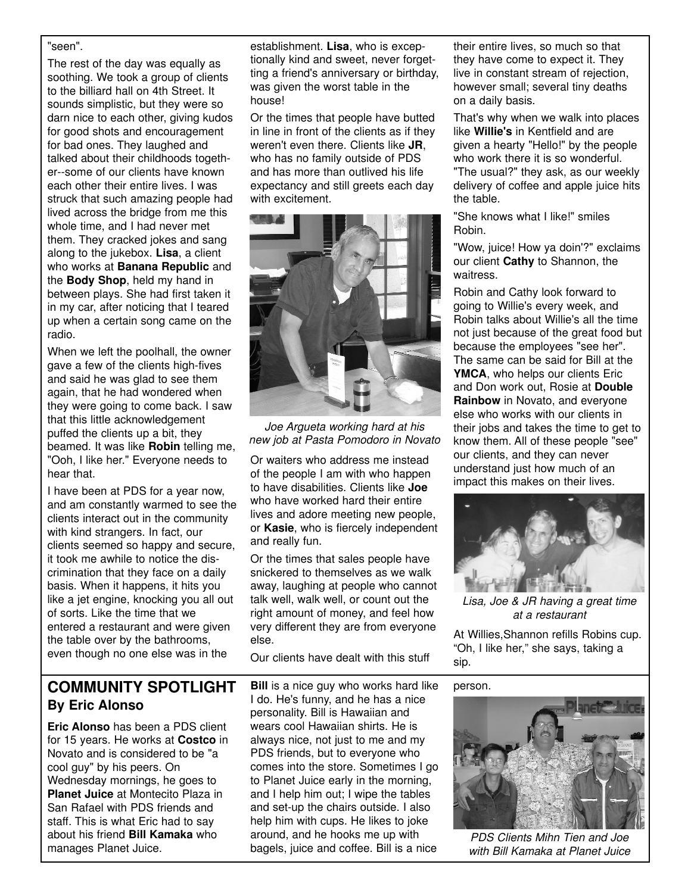#### "seen".

The rest of the day was equally as soothing. We took a group of clients to the billiard hall on 4th Street. It sounds simplistic, but they were so darn nice to each other, giving kudos for good shots and encouragement for bad ones. They laughed and talked about their childhoods together--some of our clients have known each other their entire lives. I was struck that such amazing people had lived across the bridge from me this whole time, and I had never met them. They cracked jokes and sang along to the jukebox. **Lisa**, a client who works at **Banana Republic** and the **Body Shop**, held my hand in between plays. She had first taken it in my car, after noticing that I teared up when a certain song came on the radio.

When we left the poolhall, the owner gave a few of the clients high-fives and said he was glad to see them again, that he had wondered when they were going to come back. I saw that this little acknowledgement puffed the clients up a bit, they beamed. It was like **Robin** telling me, "Ooh, I like her." Everyone needs to hear that.

I have been at PDS for a year now, and am constantly warmed to see the clients interact out in the community with kind strangers. In fact, our clients seemed so happy and secure, it took me awhile to notice the discrimination that they face on a daily basis. When it happens, it hits you like a jet engine, knocking you all out of sorts. Like the time that we entered a restaurant and were given the table over by the bathrooms, even though no one else was in the

establishment. **Lisa**, who is exceptionally kind and sweet, never forgetting a friend's anniversary or birthday, was given the worst table in the house!

Or the times that people have butted in line in front of the clients as if they weren't even there. Clients like **JR**, who has no family outside of PDS and has more than outlived his life expectancy and still greets each day with excitement.



*Joe Argueta working hard at his new job at Pasta Pomodoro in Novato*

Or waiters who address me instead of the people I am with who happen to have disabilities. Clients like **Joe** who have worked hard their entire lives and adore meeting new people, or **Kasie**, who is fiercely independent and really fun.

Or the times that sales people have snickered to themselves as we walk away, laughing at people who cannot talk well, walk well, or count out the right amount of money, and feel how very different they are from everyone else.

Our clients have dealt with this stuff

### **COMMUNITY SPOTLIGHT By Eric Alonso**

**Eric Alonso** has been a PDS client for 15 years. He works at **Costco** in Novato and is considered to be "a cool guy" by his peers. On Wednesday mornings, he goes to **Planet Juice** at Montecito Plaza in San Rafael with PDS friends and staff. This is what Eric had to say about his friend **Bill Kamaka** who manages Planet Juice.

**Bill** is a nice guy who works hard like I do. He's funny, and he has a nice personality. Bill is Hawaiian and wears cool Hawaiian shirts. He is always nice, not just to me and my PDS friends, but to everyone who comes into the store. Sometimes I go to Planet Juice early in the morning, and I help him out; I wipe the tables and set-up the chairs outside. I also help him with cups. He likes to joke around, and he hooks me up with bagels, juice and coffee. Bill is a nice

their entire lives, so much so that they have come to expect it. They live in constant stream of rejection, however small; several tiny deaths on a daily basis.

That's why when we walk into places like **Willie's** in Kentfield and are given a hearty "Hello!" by the people who work there it is so wonderful. "The usual?" they ask, as our weekly delivery of coffee and apple juice hits the table.

"She knows what I like!" smiles Robin.

"Wow, juice! How ya doin'?" exclaims our client **Cathy** to Shannon, the waitress.

Robin and Cathy look forward to going to Willie's every week, and Robin talks about Willie's all the time not just because of the great food but because the employees "see her". The same can be said for Bill at the YMCA, who helps our clients Eric and Don work out, Rosie at **Double Rainbow** in Novato, and everyone else who works with our clients in their jobs and takes the time to get to know them. All of these people "see" our clients, and they can never understand just how much of an impact this makes on their lives.



*Lisa, Joe & JR having a great time at a restaurant*

At Willies,Shannon refills Robins cup. "Oh, I like her," she says, taking a sip.

person.



*PDS Clients Mihn Tien and Joe with Bill Kamaka at Planet Juice*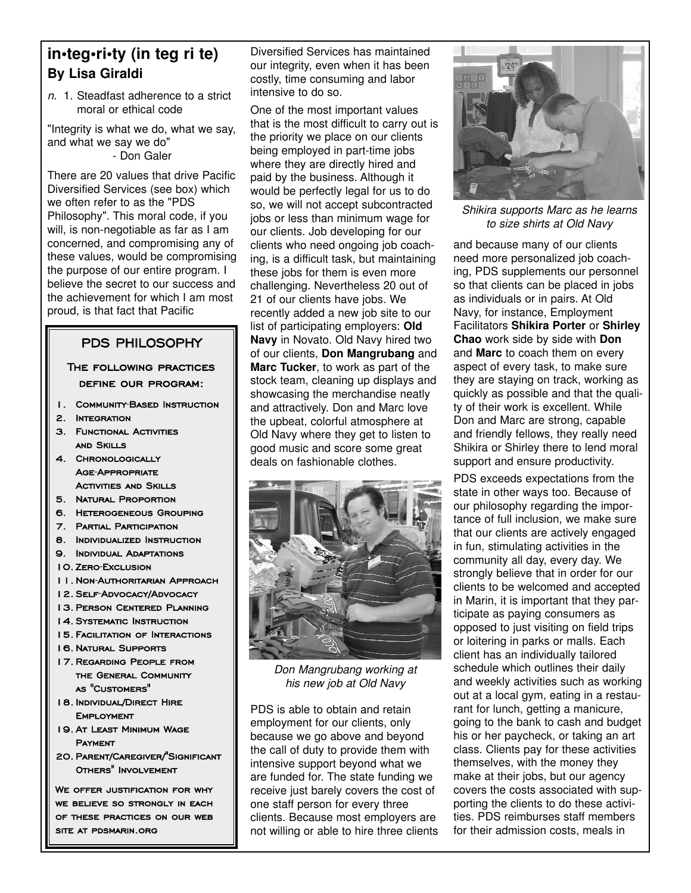## **in•teg•ri•ty (in teg ri te) By Lisa Giraldi**

*n.* 1. Steadfast adherence to a strict moral or ethical code

"Integrity is what we do, what we say, and what we say we do" - Don Galer

There are 20 values that drive Pacific Diversified Services (see box) which we often refer to as the "PDS Philosophy". This moral code, if you will, is non-negotiable as far as I am concerned, and compromising any of these values, would be compromising the purpose of our entire program. I believe the secret to our success and the achievement for which I am most proud, is that fact that Pacific

#### PDS PHILOSOPHY

#### The following practices define our program:

- 1. Community-Based Instruction
- 2. Integration
- 3. FUNCTIONAL ACTIVITIES and Skills
- 4. Chronologically Age-Appropriate **ACTIVITIES AND SKILLS**
- 5. Natural Proportion
- 6. Heterogeneous Grouping
- 7. Partial Participation
- 8. Individualized Instruction
- 9. Individual Adaptations
- 10. Zero-Exclusion
- 11. Non-Authoritarian Approach
- 12. Self-Advocacy/Advocacy
- 13. Person Centered Planning
- 14. Systematic Instruction
- 15. Facilitation of Interactions
- 16. Natural Supports
- 17. Regarding People from the General Community as "Customers"
- 18.Individual/Direct Hire **EMPLOYMENT**
- 19. At Least Minimum Wage **PAYMENT**
- 20. Parent/Caregiver/"Significant Others" Involvement

WE OFFER JUSTIFICATION FOR WHY we believe so strongly in each of these practices on our web site at pdsmarin.org

Diversified Services has maintained our integrity, even when it has been costly, time consuming and labor intensive to do so.

One of the most important values that is the most difficult to carry out is the priority we place on our clients being employed in part-time jobs where they are directly hired and paid by the business. Although it would be perfectly legal for us to do so, we will not accept subcontracted jobs or less than minimum wage for our clients. Job developing for our clients who need ongoing job coaching, is a difficult task, but maintaining these jobs for them is even more challenging. Nevertheless 20 out of 21 of our clients have jobs. We recently added a new job site to our list of participating employers: **Old Navy** in Novato. Old Navy hired two of our clients, **Don Mangrubang** and **Marc Tucker**, to work as part of the stock team, cleaning up displays and showcasing the merchandise neatly and attractively. Don and Marc love the upbeat, colorful atmosphere at Old Navy where they get to listen to good music and score some great deals on fashionable clothes.



*Don Mangrubang working at his new job at Old Navy*

PDS is able to obtain and retain employment for our clients, only because we go above and beyond the call of duty to provide them with intensive support beyond what we are funded for. The state funding we receive just barely covers the cost of one staff person for every three clients. Because most employers are not willing or able to hire three clients



*Shikira supports Marc as he learns to size shirts at Old Navy*

and because many of our clients need more personalized job coaching, PDS supplements our personnel so that clients can be placed in jobs as individuals or in pairs. At Old Navy, for instance, Employment Facilitators **Shikira Porter** or **Shirley Chao** work side by side with **Don** and **Marc** to coach them on every aspect of every task, to make sure they are staying on track, working as quickly as possible and that the quality of their work is excellent. While Don and Marc are strong, capable and friendly fellows, they really need Shikira or Shirley there to lend moral support and ensure productivity.

PDS exceeds expectations from the state in other ways too. Because of our philosophy regarding the importance of full inclusion, we make sure that our clients are actively engaged in fun, stimulating activities in the community all day, every day. We strongly believe that in order for our clients to be welcomed and accepted in Marin, it is important that they participate as paying consumers as opposed to just visiting on field trips or loitering in parks or malls. Each client has an individually tailored schedule which outlines their daily and weekly activities such as working out at a local gym, eating in a restaurant for lunch, getting a manicure, going to the bank to cash and budget his or her paycheck, or taking an art class. Clients pay for these activities themselves, with the money they make at their jobs, but our agency covers the costs associated with supporting the clients to do these activities. PDS reimburses staff members for their admission costs, meals in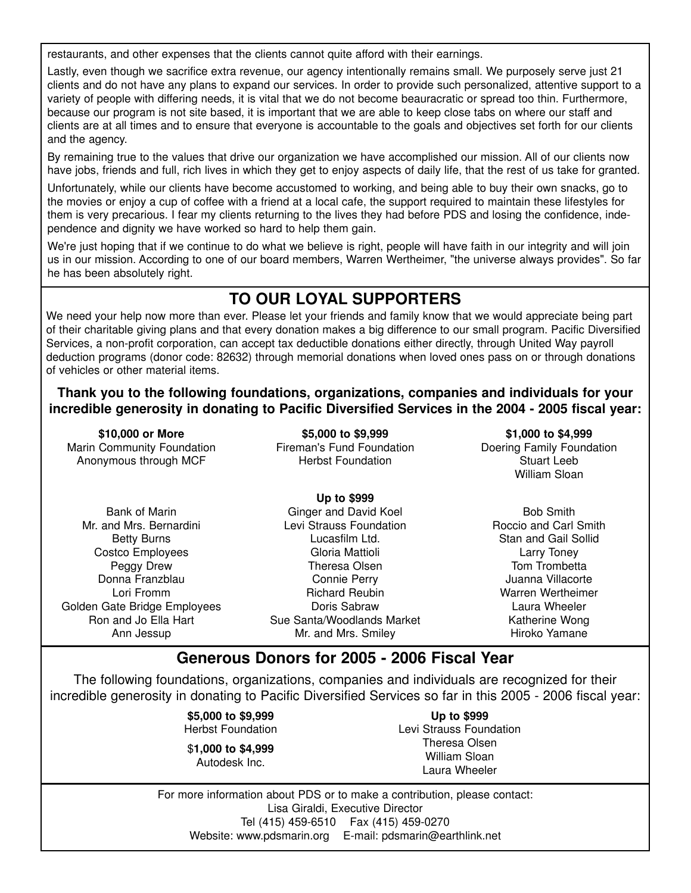restaurants, and other expenses that the clients cannot quite afford with their earnings.

Lastly, even though we sacrifice extra revenue, our agency intentionally remains small. We purposely serve just 21 clients and do not have any plans to expand our services. In order to provide such personalized, attentive support to a variety of people with differing needs, it is vital that we do not become beauracratic or spread too thin. Furthermore, because our program is not site based, it is important that we are able to keep close tabs on where our staff and clients are at all times and to ensure that everyone is accountable to the goals and objectives set forth for our clients and the agency.

By remaining true to the values that drive our organization we have accomplished our mission. All of our clients now have jobs, friends and full, rich lives in which they get to enjoy aspects of daily life, that the rest of us take for granted.

Unfortunately, while our clients have become accustomed to working, and being able to buy their own snacks, go to the movies or enjoy a cup of coffee with a friend at a local cafe, the support required to maintain these lifestyles for them is very precarious. I fear my clients returning to the lives they had before PDS and losing the confidence, independence and dignity we have worked so hard to help them gain.

We're just hoping that if we continue to do what we believe is right, people will have faith in our integrity and will join us in our mission. According to one of our board members, Warren Wertheimer, "the universe always provides". So far he has been absolutely right.

# **TO OUR LOYAL SUPPORTERS**

We need your help now more than ever. Please let your friends and family know that we would appreciate being part of their charitable giving plans and that every donation makes a big difference to our small program. Pacific Diversified Services, a non-profit corporation, can accept tax deductible donations either directly, through United Way payroll deduction programs (donor code: 82632) through memorial donations when loved ones pass on or through donations of vehicles or other material items.

**Thank you to the following foundations, organizations, companies and individuals for your incredible generosity in donating to Pacific Diversified Services in the 2004 - 2005 fiscal year:**

**\$10,000 or More** Marin Community Foundation Anonymous through MCF

**\$5,000 to \$9,999** Fireman's Fund Foundation Herbst Foundation

**\$1,000 to \$4,999** Doering Family Foundation Stuart Leeb William Sloan

Bank of Marin Mr. and Mrs. Bernardini Betty Burns Costco Employees Peggy Drew Donna Franzblau Lori Fromm Golden Gate Bridge Employees Ron and Jo Ella Hart Ann Jessup

**Up to \$999** Ginger and David Koel Levi Strauss Foundation Lucasfilm Ltd. Gloria Mattioli Theresa Olsen Connie Perry Richard Reubin Doris Sabraw Sue Santa/Woodlands Market Mr. and Mrs. Smiley

Bob Smith Roccio and Carl Smith Stan and Gail Sollid Larry Toney Tom Trombetta Juanna Villacorte Warren Wertheimer Laura Wheeler Katherine Wong Hiroko Yamane

### **Generous Donors for 2005 - 2006 Fiscal Year**

The following foundations, organizations, companies and individuals are recognized for their incredible generosity in donating to Pacific Diversified Services so far in this 2005 - 2006 fiscal year:

> **\$5,000 to \$9,999** Herbst Foundation

\$**1,000 to \$4,999** Autodesk Inc.

**Up to \$999** Levi Strauss Foundation Theresa Olsen William Sloan Laura Wheeler

For more information about PDS or to make a contribution, please contact: Lisa Giraldi, Executive Director Tel (415) 459-6510 Fax (415) 459-0270 Website: www.pdsmarin.org E-mail: pdsmarin@earthlink.net